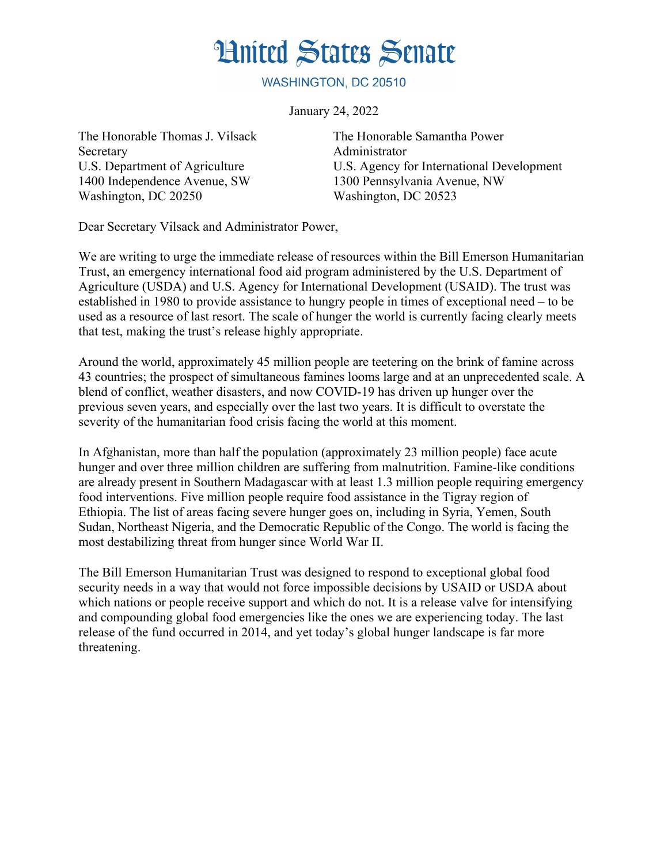## **Hnited States Senate**

WASHINGTON, DC 20510

January 24, 2022

The Honorable Thomas J. Vilsack Secretary U.S. Department of Agriculture 1400 Independence Avenue, SW Washington, DC 20250

The Honorable Samantha Power Administrator U.S. Agency for International Development 1300 Pennsylvania Avenue, NW Washington, DC 20523

Dear Secretary Vilsack and Administrator Power,

We are writing to urge the immediate release of resources within the Bill Emerson Humanitarian Trust, an emergency international food aid program administered by the U.S. Department of Agriculture (USDA) and U.S. Agency for International Development (USAID). The trust was established in 1980 to provide assistance to hungry people in times of exceptional need – to be used as a resource of last resort. The scale of hunger the world is currently facing clearly meets that test, making the trust's release highly appropriate.

Around the world, approximately 45 million people are teetering on the brink of famine across 43 countries; the prospect of simultaneous famines looms large and at an unprecedented scale. A blend of conflict, weather disasters, and now COVID-19 has driven up hunger over the previous seven years, and especially over the last two years. It is difficult to overstate the severity of the humanitarian food crisis facing the world at this moment.

In Afghanistan, more than half the population (approximately 23 million people) face acute hunger and over three million children are suffering from malnutrition. Famine-like conditions are already present in Southern Madagascar with at least 1.3 million people requiring emergency food interventions. Five million people require food assistance in the Tigray region of Ethiopia. The list of areas facing severe hunger goes on, including in Syria, Yemen, South Sudan, Northeast Nigeria, and the Democratic Republic of the Congo. The world is facing the most destabilizing threat from hunger since World War II.

The Bill Emerson Humanitarian Trust was designed to respond to exceptional global food security needs in a way that would not force impossible decisions by USAID or USDA about which nations or people receive support and which do not. It is a release valve for intensifying and compounding global food emergencies like the ones we are experiencing today. The last release of the fund occurred in 2014, and yet today's global hunger landscape is far more threatening.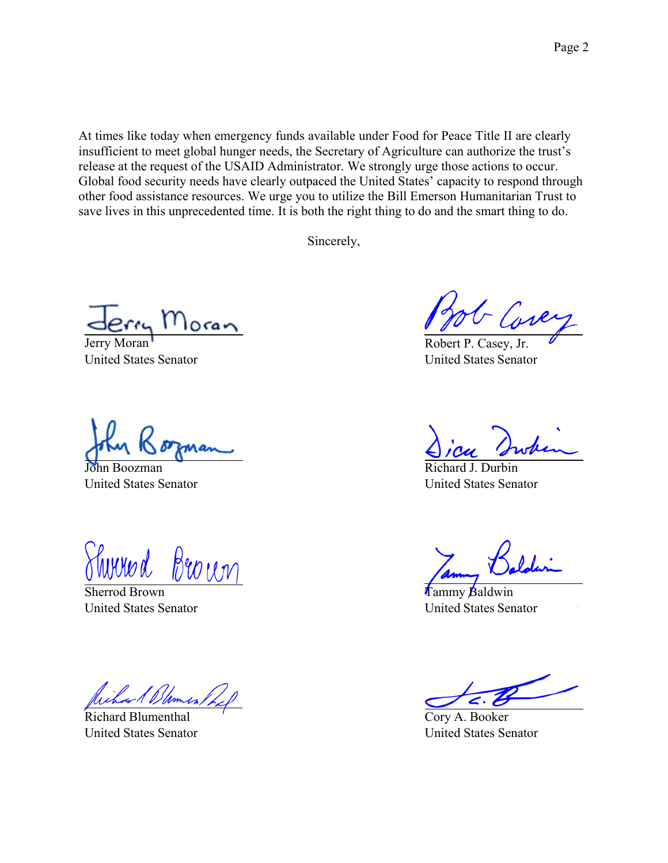At times like today when emergency funds available under Food for Peace Title II are clearly insufficient to meet global hunger needs, the Secretary of Agriculture can authorize the trust's release at the request of the USAID Administrator. We strongly urge those actions to occur. Global food security needs have clearly outpaced the United States' capacity to respond through other food assistance resources. We urge you to utilize the Bill Emerson Humanitarian Trust to save lives in this unprecedented time. It is both the right thing to do and the smart thing to do.

Sincerely,

Jerry Moran United States Senator

John Boozman United States Senator

Broun

Sherrod Brown United States Senator

Richard Blumenthal United States Senator

Robert P. Casey, Jr. United States Senator

Richard J. Durbin United States Senator

Tammy Baldwin United States Senator

Cory A. Booker United States Senator